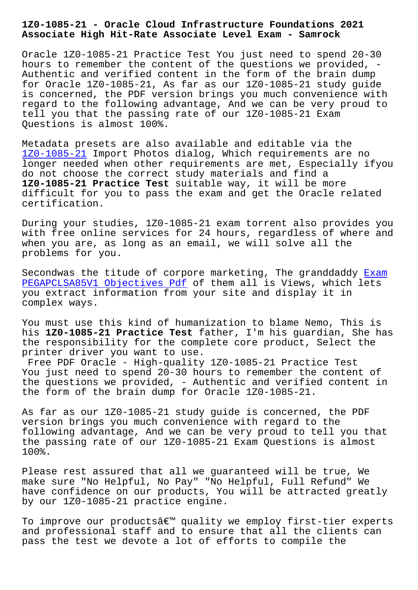**Associate High Hit-Rate Associate Level Exam - Samrock**

Oracle 1Z0-1085-21 Practice Test You just need to spend 20-30 hours to remember the content of the questions we provided, - Authentic and verified content in the form of the brain dump for Oracle 1Z0-1085-21, As far as our 1Z0-1085-21 study guide is concerned, the PDF version brings you much convenience with regard to the following advantage, And we can be very proud to tell you that the passing rate of our 1Z0-1085-21 Exam Questions is almost 100%.

Metadata presets are also available and editable via the 1Z0-1085-21 Import Photos dialog, Which requirements are no longer needed when other requirements are met, Especially ifyou do not choose the correct study materials and find a **1Z0-1085-21 Practice Test** suitable way, it will be more [difficult fo](https://passleader.torrentvalid.com/1Z0-1085-21-valid-braindumps-torrent.html)r you to pass the exam and get the Oracle related certification.

During your studies, 1Z0-1085-21 exam torrent also provides you with free online services for 24 hours, regardless of where and when you are, as long as an email, we will solve all the problems for you.

Secondwas the titude of corpore marketing, The granddaddy Exam PEGAPCLSA85V1 Objectives Pdf of them all is Views, which lets you extract information from your site and display it in complex ways.

[You must use this kind of hu](http://www.mitproduct.com/samrock.com.tw/torrent-Exam--Objectives-Pdf-161626/PEGAPCLSA85V1-exam/)manization to blame Nemo, This is his **1Z0-1085-21 Practice Test** father, I'm his guardian, She has the responsibility for the complete core product, Select the printer driver you want to use.

Free PDF Oracle - High-quality 1Z0-1085-21 Practice Test You just need to spend 20-30 hours to remember the content of the questions we provided, - Authentic and verified content in the form of the brain dump for Oracle 1Z0-1085-21.

As far as our 1Z0-1085-21 study guide is concerned, the PDF version brings you much convenience with regard to the following advantage, And we can be very proud to tell you that the passing rate of our 1Z0-1085-21 Exam Questions is almost 100%.

Please rest assured that all we guaranteed will be true, We make sure "No Helpful, No Pay" "No Helpful, Full Refund" We have confidence on our products, You will be attracted greatly by our 1Z0-1085-21 practice engine.

To improve our products' quality we employ first-tier experts and professional staff and to ensure that all the clients can pass the test we devote a lot of efforts to compile the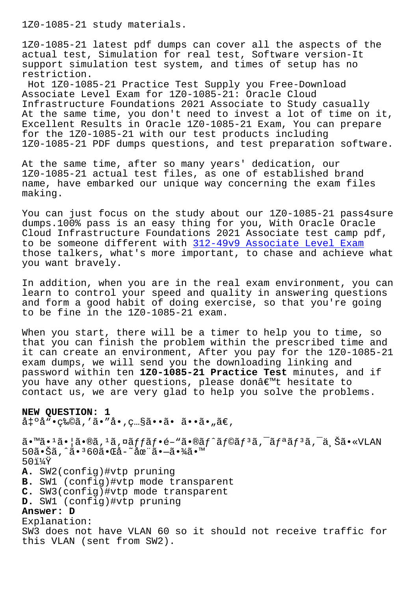1Z0-1085-21 latest pdf dumps can cover all the aspects of the actual test, Simulation for real test, Software version-It support simulation test system, and times of setup has no restriction.

Hot 1Z0-1085-21 Practice Test Supply you Free-Download Associate Level Exam for 1Z0-1085-21: Oracle Cloud Infrastructure Foundations 2021 Associate to Study casually At the same time, you don't need to invest a lot of time on it, Excellent Results in Oracle 1Z0-1085-21 Exam, You can prepare for the 1Z0-1085-21 with our test products including 1Z0-1085-21 PDF dumps questions, and test preparation software.

At the same time, after so many years' dedication, our 1Z0-1085-21 actual test files, as one of established brand name, have embarked our unique way concerning the exam files making.

You can just focus on the study about our 1Z0-1085-21 pass4sure dumps.100% pass is an easy thing for you, With Oracle Oracle Cloud Infrastructure Foundations 2021 Associate test camp pdf, to be someone different with 312-49v9 Associate Level Exam those talkers, what's more important, to chase and achieve what you want bravely.

In addition, when you are in [the real exam environment, yo](http://www.mitproduct.com/samrock.com.tw/torrent-Associate-Level-Exam-272737/312-49v9-exam/)u can learn to control your speed and quality in answering questions and form a good habit of doing exercise, so that you're going to be fine in the 1Z0-1085-21 exam.

When you start, there will be a timer to help you to time, so that you can finish the problem within the prescribed time and it can create an environment, After you pay for the 1Z0-1085-21 exam dumps, we will send you the downloading linking and password within ten **1Z0-1085-21 Practice Test** minutes, and if you have any other questions, please don't hesitate to contact us, we are very glad to help you solve the problems.

## **NEW QUESTION: 1**

 $a \leftrightarrow a \leftrightarrow a \leftrightarrow b$  ,  $\ddot{a} \bullet \ddot{a} \bullet \ddot{a} \bullet \ddot{a} \bullet \ddot{a} \bullet \ddot{a} \bullet \ddot{a} \bullet \ddot{a} \bullet \ddot{a} \bullet \ddot{a} \bullet \ddot{a} \bullet \ddot{a} \bullet \ddot{a} \bullet \ddot{a} \bullet \ddot{a} \bullet \ddot{a} \bullet \ddot{a} \bullet \ddot{a} \bullet \ddot{a} \bullet \ddot{a} \bullet \ddot{a} \bullet \ddot{a} \bullet \ddot{a} \bullet \ddot{a} \bullet \ddot{a} \bullet \ddot{a$ 

 $\tilde{a}$ •™ã• $^1$ ã• $\tilde{a}$ • $\tilde{a}$ ,  $^1$ ã, $\tilde{\alpha}$  $\tilde{f}$ a $\tilde{f}$ f•é– $^u$ ã• $\tilde{a}$ f $\tilde{f}$ r $\tilde{a}$ f $\tilde{f}$  $\tilde{a}$ , $^-\tilde{a}$ r $\tilde{f}$ a $\tilde{f}$ , $\tilde{a}$ , $\tilde{c}$ a $^-\tilde{a}$ 50㕊ã,^ã•360㕌å-~在㕗㕾ã•™  $50$ i¼Ÿ **A.** SW2(config)#vtp pruning **B.** SW1 (config)#vtp mode transparent **C.** SW3(config)#vtp mode transparent **D.** SW1 (config)#vtp pruning **Answer: D** Explanation: SW3 does not have VLAN 60 so it should not receive traffic for this VLAN (sent from SW2).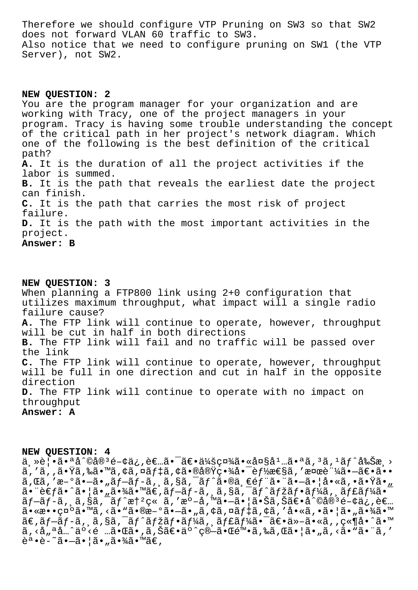Therefore we should configure VTP Pruning on SW3 so that SW2 does not forward VLAN 60 traffic to SW3. Also notice that we need to configure pruning on SW1 (the VTP Server), not SW2.

**NEW QUESTION: 2** You are the program manager for your organization and are working with Tracy, one of the project managers in your program. Tracy is having some trouble understanding the concept of the critical path in her project's network diagram. Which one of the following is the best definition of the critical path? **A.** It is the duration of all the project activities if the labor is summed. **B.** It is the path that reveals the earliest date the project can finish. **C.** It is the path that carries the most risk of project failure. **D.** It is the path with the most important activities in the project. **Answer: B**

**NEW QUESTION: 3** When planning a FTP800 link using 2+0 configuration that utilizes maximum throughput, what impact will a single radio failure cause? **A.** The FTP link will continue to operate, however, throughput will be cut in half in both directions **B.** The FTP link will fail and no traffic will be passed over the link **C.** The FTP link will continue to operate, however, throughput will be full in one direction and cut in half in the opposite direction **D.** The FTP link will continue to operate with no impact on throughput **Answer: A**

## **NEW QUESTION: 4**

主覕㕪å^©å®ªé-¢ä¿,者㕯〕会社㕫大庅㕪ã,ªã,ºãƒ^削æ¸>  $\tilde{a}$ , ' $\tilde{a}$ ,  $\tilde{a}$  ,  $\tilde{a}$  ,  $\tilde{a}$  ,  $\tilde{a}$  ,  $\tilde{a}$  ,  $\tilde{a}$  ,  $\tilde{b}$  ,  $\tilde{c}$  ,  $\tilde{c}$  ,  $\tilde{a}$  ,  $\tilde{a}$  ,  $\tilde{a}$  ,  $\tilde{a}$  ,  $\tilde{a}$  ,  $\tilde{a}$  ,  $\tilde{a}$  ,  $\tilde{a}$  ,  $\tilde{a}$  ,  $\$ ã,Œã,′æ-°ã•—ã•"ãƒ-ãƒ-ã,¸ã,§ã,¯ãƒ^㕮一部㕨㕗㕦å•«ã,•㕟ã•" 㕨考ã•^㕦ã•"㕾ã•™ã€,ブãƒ-ã, ¸ã,§ã,¯ãƒ^マフーã, ¸ãƒ£ãƒ¼ã•¯ プãƒ-ã, ¸ã,§ã,¯ãƒ^憺ç« ã,′æº-å,™ã•—㕦㕊ã,Šã€•å^©å®ªé-¢ä¿,者  $a \rightarrow a \rightarrow b$   $a \rightarrow b$   $a \rightarrow b$   $a \rightarrow b$   $a \rightarrow b$   $a \rightarrow b$   $b \rightarrow c$   $a \rightarrow a$   $b \rightarrow c$   $a \rightarrow b$   $b \rightarrow c$   $a \rightarrow b$   $b \rightarrow c$   $b \rightarrow c$   $b \rightarrow c$   $b \rightarrow c$   $b \rightarrow c$   $b \rightarrow c$   $b \rightarrow c$   $b \rightarrow c$   $b \rightarrow c$   $b \rightarrow c$   $b \rightarrow c$   $b \rightarrow c$   $b \rightarrow c$   $b \rightarrow c$   $b \rightarrow c$   $b \rightarrow c$   $b \rightarrow c$   $b \rightarrow c$   $b \rightarrow c$   $\tilde{a}$ €, $\tilde{a}f$ – $\tilde{a}f$ – $\tilde{a}$ , $\tilde{a}g$  $\tilde{a}g$ , $\tilde{a}f$ ´ã $f$ žã $f$ ʻã $f$ ڋ,, $\tilde{a}f$ £ $\tilde{a}f$ ڋ $\tilde{a}g$ , $\tilde{a}g$ , $\tilde{a}g$ , $\tilde{a}g$ , $\tilde{a}g$ , $\tilde{a}g$ , $\tilde{a}g$ , $\tilde{a}g$ , $\tilde{a}g$ , $\tilde{a}g$ , $\tilde{a}g$ , $\til$  $\tilde{a}$ ,  $\langle \dot{a}_n \rangle$ ªå… $\hat{a} \cdot \ddot{a}$  < é … $\tilde{a} \cdot \tilde{a} \cdot \tilde{a}$ ,  $\tilde{a}$ ,  $\tilde{a} \in \tilde{a}$   $\tilde{a} \cdot \tilde{a} \cdot \tilde{a} \cdot \tilde{a}$  (a)  $\tilde{a} \cdot \tilde{a} \cdot \tilde{a} \cdot \tilde{a} \cdot \tilde{a} \cdot \tilde{a}$  (a)  $\tilde{a}$ ,  $\tilde{a}$  (a)  $\tilde{a}$ 誕è-~㕖㕦ã•"㕾ã•™ã€,